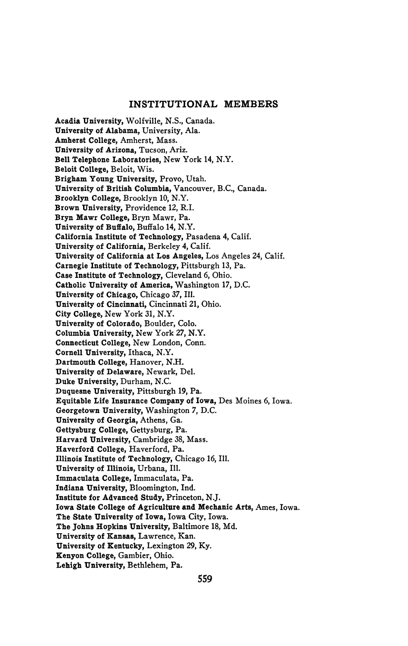## **INSTITUTIONAL MEMBERS**

**Acadia University,** Wolfville, N.S., Canada. **University of Alabama,** University, Ala. **Amherst College,** Amherst, Mass. **University of Arizona,** Tucson, Ariz. **Bell Telephone Laboratories,** New York **14,** N.Y. **Beloit College,** Beloit, Wis. **Brigham Young University,** Provo, Utah. **University of British Columbia,** Vancouver, B.C., Canada. **Brooklyn College,** Brooklyn 10, N.Y. **Brown University,** Providence 12, R.I. **Bryn Mawr College,** Bryn Mawr, Pa. **University of Buffalo,** Buffalo **14,** N.Y. **California Institute of Technology,** Pasadena 4, Calif. **University of California,** Berkeley 4, Calif. **University of California at Los Angeles,** Los Angeles 24, Calif. **Carnegie Institute of Technology,** Pittsburgh 13, Pa. **Case Institute of Technology,** Cleveland 6, Ohio. **Catholic University of America,** Washington **17,** D.C. **University of Chicago,** Chicago *37*, **111. University of Cincinnati,** Cincinnati 21, Ohio. **City College,** New York 31, N.Y. **University of Colorado,** Boulder, Colo. **Columbia University,** New York 27, N.Y. **Connecticut College,** New London, Conn. **Cornell University,** Ithaca, N.Y. **Dartmouth College,** Hanover, N.H. **University of Delaware,** Newark, Del. **Duke University,** Durham, N.C. **Duquesne University,** Pittsburgh **19, Pa. Equitable Life Insurance Company of Iowa,** Des Moines 6, Iowa. **Georgetown University,** Washington **7,** D.C. **University of Georgia,** Athens, Ga. **Gettysburg College,** Gettysburg, Pa. **Harvard University,** Cambridge 38, Mass. **Haverford College,** Haverford, Pa. **Illinois Institute of Technology,** Chicago 16, **111. University of Illinois,** Urbana, **111. Immaculata College,** Immaculata, Pa. **Indiana University,** Bloomington, **Ind. Institute for Advanced Study,** Princeton, **N.J. Iowa State College of Agriculture and Mechanic Arts,** Ames, Iowa. **The State University of Iowa,** Iowa City, Iowa. **The Johns Hopkins University, Baltimore 18, Md. University of Kansas,** Lawrence, **Kan. University of Kentucky,** Lexington 29, Ky. **Kenyon College,** Gambier, Ohio.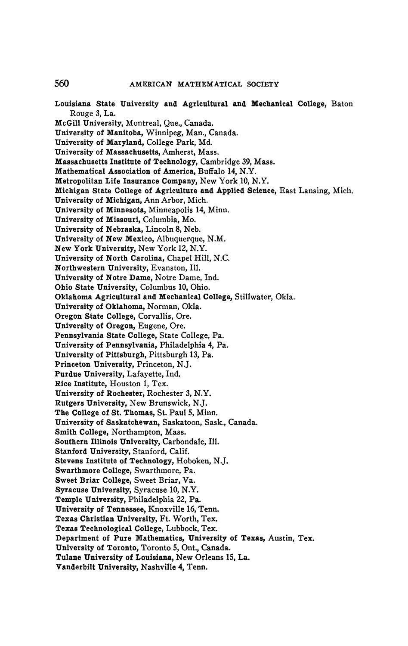560 **AMERICAN MATHEMATICAL SOCIETY** 

**Louisiana State University and Agricultural and Mechanical College, Baton Rouge 3, La. Mc Gill University, Montreal, Que., Canada. University of Manitoba, Winnipeg, Man., Canada. University of Maryland, College Park, Md. University of Massachusetts, Amherst, Mass. Massachusetts Institute of Technology, Cambridge 39, Mass. Mathematical Association of America, Buffalo 14, N.Y. Metropolitan Life Insurance Company, New York 10, N.Y. Michigan State College of Agriculture and Applied Science, East Lansing, Mich. University of Michigan, Ann Arbor, Mich. University of Minnesota, Minneapolis 14, Minn. University of Missouri, Columbia, Mo. University of Nebraska, Lincoln 8, Neb. University of New Mexico, Albuquerque, N.M. New York University, New York 12, N.Y. University of North Carolina, Chapel Hill, N.C. Northwestern University, Evanston, 111. University of Notre Dame, Notre Dame, Ind. Ohio State University, Columbus 10, Ohio. Oklahoma Agricultural and Mechanical College, Stillwater, Okla. University of Oklahoma, Norman, Okla. Oregon State College, Corvallis, Ore. University of Oregon, Eugene, Ore. Pennsylvania State College, State College, Pa. University of Pennsylvania, Philadelphia 4, Pa. University of Pittsburgh, Pittsburgh 13, Pa. Princeton University, Princeton, NJ. Purdue University, Lafayette, Ind. Rice Institute, Houston 1, Tex. University of Rochester, Rochester 3, N.Y. Rutgers University, New Brunswick, NJ. The College of St. Thomas, St. Paul 5, Minn. University of Saskatchewan, Saskatoon, Sask., Canada. Smith College, Northampton, Mass. Southern Illinois University, Carbondale, 111. Stanford University, Stanford, Calif. Stevens Institute of Technology, Hoboken, NJ. Swarthmore College, Swarthmore, Pa. Sweet Briar College, Sweet Briar, Va. Syracuse University, Syracuse 10, N.Y. Temple University, Philadelphia 22, Pa. University of Tennessee, Knoxville 16, Tenn. Texas Christian University, Ft. Worth, Tex. Texas Technological College, Lubbock, Tex. Department of Pure Mathematics, University of Texas, Austin, Tex. University of Toronto, Toronto 5, Ont., Canada. Tulane University of Louisiana, New Orleans 15, La. Vanderbilt University, Nashville 4, Tenn.**